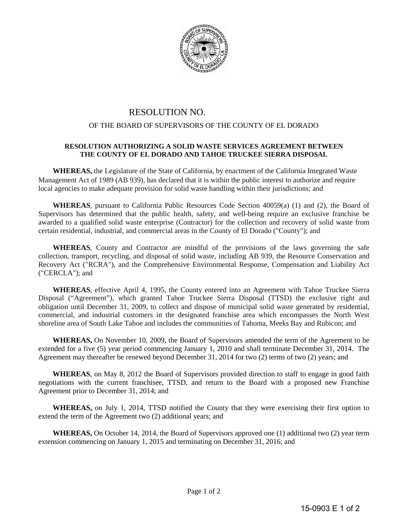

## RESOLUTION NO.

## OF THE BOARD OF SUPERVISORS OF THE COUNTY OF EL DORADO

## **RESOLUTION AUTHORIZING A SOLID WASTE SERVICES AGREEMENT BETWEEN THE COUNTY OF EL DORADO AND TAHOE TRUCKEE SIERRA DISPOSAL**

**WHEREAS,** the Legislature of the State of California, by enactment of the California Integrated Waste Management Act of 1989 (AB 939), has declared that it is within the public interest to authorize and require local agencies to make adequate provision for solid waste handling within their jurisdictions; and

**WHEREAS**, pursuant to California Public Resources Code Section 40059(a) (1) and (2), the Board of Supervisors has determined that the public health, safety, and well-being require an exclusive franchise be awarded to a qualified solid waste enterprise (Contractor) for the collection and recovery of solid waste from certain residential, industrial, and commercial areas in the County of El Dorado ("County"); and

**WHEREAS**, County and Contractor are mindful of the provisions of the laws governing the safe collection, transport, recycling, and disposal of solid waste, including AB 939, the Resource Conservation and Recovery Act ("RCRA"), and the Comprehensive Environmental Response, Compensation and Liability Act ("CERCLA"); and

**WHEREAS**, effective April 4, 1995, the County entered into an Agreement with Tahoe Truckee Sierra Disposal ("Agreement"), which granted Tahoe Truckee Sierra Disposal (TTSD) the exclusive right and obligation until December 31, 2009, to collect and dispose of municipal solid waste generated by residential, commercial, and industrial customers in the designated franchise area which encompasses the North West shoreline area of South Lake Tahoe and includes the communities of Tahoma, Meeks Bay and Rubicon; and

**WHEREAS,** On November 10, 2009, the Board of Supervisors amended the term of the Agreement to be extended for a five (5) year period commencing January 1, 2010 and shall terminate December 31, 2014. The Agreement may thereafter be renewed beyond December 31, 2014 for two (2) terms of two (2) years; and

**WHEREAS**, on May 8, 2012 the Board of Supervisors provided direction to staff to engage in good faith negotiations with the current franchisee, TTSD, and return to the Board with a proposed new Franchise Agreement prior to December 31, 2014; and

**WHEREAS,** on July 1, 2014, TTSD notified the County that they were exercising their first option to extend the term of the Agreement two (2) additional years; and

**WHEREAS,** On October 14, 2014, the Board of Supervisors approved one (1) additional two (2) year term extension commencing on January 1, 2015 and terminating on December 31, 2016; and